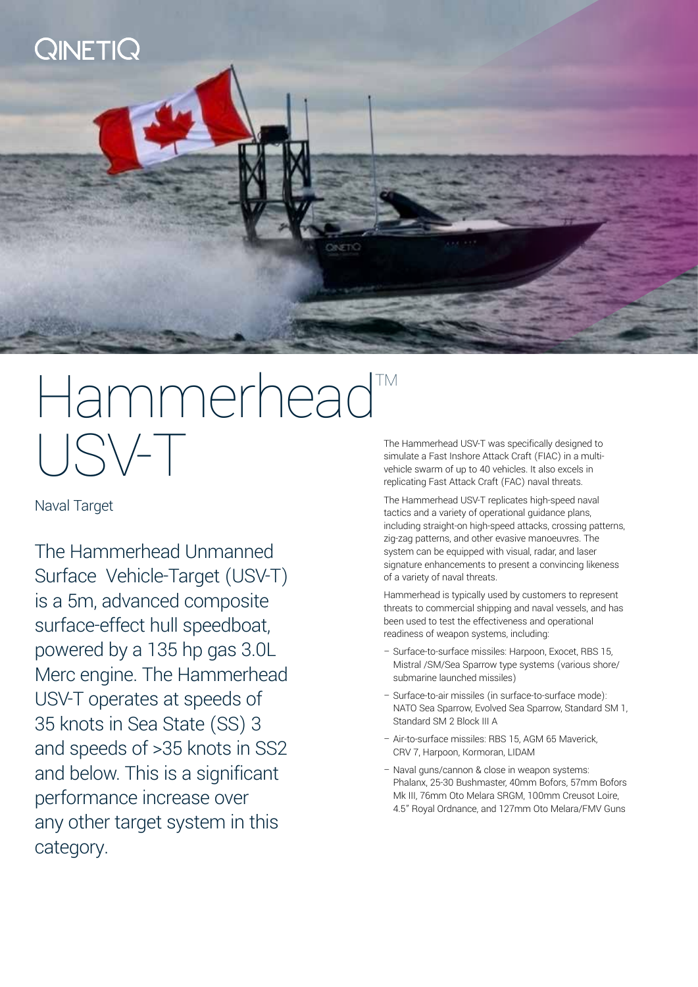

# Hammerhead USV-T

Naval Target

The Hammerhead Unmanned Surface Vehicle-Target (USV-T) is a 5m, advanced composite surface-effect hull speedboat, powered by a 135 hp gas 3.0L Merc engine. The Hammerhead USV-T operates at speeds of 35 knots in Sea State (SS) 3 and speeds of >35 knots in SS2 and below. This is a significant performance increase over any other target system in this category.

The Hammerhead USV-T was specifically designed to simulate a Fast Inshore Attack Craft (FIAC) in a multivehicle swarm of up to 40 vehicles. It also excels in replicating Fast Attack Craft (FAC) naval threats.

The Hammerhead USV-T replicates high-speed naval tactics and a variety of operational guidance plans, including straight-on high-speed attacks, crossing patterns, zig-zag patterns, and other evasive manoeuvres. The system can be equipped with visual, radar, and laser signature enhancements to present a convincing likeness of a variety of naval threats.

Hammerhead is typically used by customers to represent threats to commercial shipping and naval vessels, and has been used to test the effectiveness and operational readiness of weapon systems, including:

- Surface-to-surface missiles: Harpoon, Exocet, RBS 15, Mistral /SM/Sea Sparrow type systems (various shore/ submarine launched missiles)
- Surface-to-air missiles (in surface-to-surface mode): NATO Sea Sparrow, Evolved Sea Sparrow, Standard SM 1, Standard SM 2 Block III A
- Air-to-surface missiles: RBS 15, AGM 65 Maverick, CRV 7, Harpoon, Kormoran, LIDAM
- Naval guns/cannon & close in weapon systems: Phalanx, 25-30 Bushmaster, 40mm Bofors, 57mm Bofors Mk III, 76mm Oto Melara SRGM, 100mm Creusot Loire, 4.5" Royal Ordnance, and 127mm Oto Melara/FMV Guns